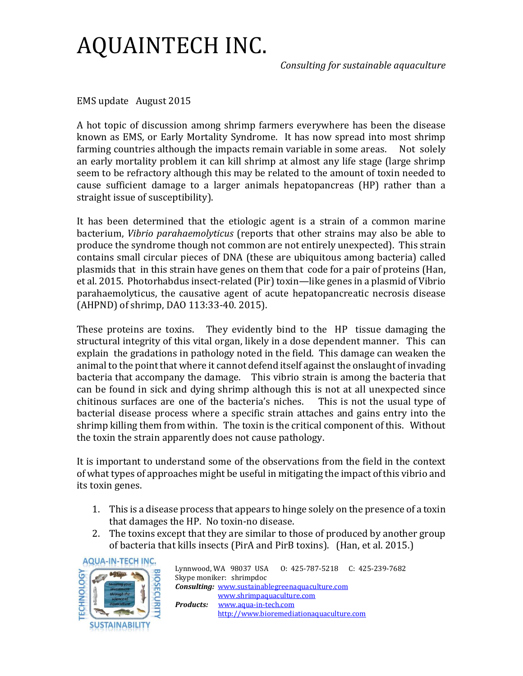*Consulting for sustainable aquaculture*

EMS update August 2015

A hot topic of discussion among shrimp farmers everywhere has been the disease known as EMS, or Early Mortality Syndrome. It has now spread into most shrimp farming countries although the impacts remain variable in some areas. Not solely an early mortality problem it can kill shrimp at almost any life stage (large shrimp seem to be refractory although this may be related to the amount of toxin needed to cause sufficient damage to a larger animals hepatopancreas (HP) rather than a straight issue of susceptibility).

It has been determined that the etiologic agent is a strain of a common marine bacterium, *Vibrio parahaemolyticus* (reports that other strains may also be able to produce the syndrome though not common are not entirely unexpected). This strain contains small circular pieces of DNA (these are ubiquitous among bacteria) called plasmids that in this strain have genes on them that code for a pair of proteins (Han, et al. 2015. Photorhabdus insect-related (Pir) toxin—like genes in a plasmid of Vibrio parahaemolyticus, the causative agent of acute hepatopancreatic necrosis disease (AHPND) of shrimp, DAO 113:33-40. 2015).

These proteins are toxins. They evidently bind to the HP tissue damaging the structural integrity of this vital organ, likely in a dose dependent manner. This can explain the gradations in pathology noted in the field. This damage can weaken the animal to the point that where it cannot defend itself against the onslaught of invading bacteria that accompany the damage. This vibrio strain is among the bacteria that can be found in sick and dying shrimp although this is not at all unexpected since chitinous surfaces are one of the bacteria's niches. This is not the usual type of bacterial disease process where a specific strain attaches and gains entry into the shrimp killing them from within. The toxin is the critical component of this. Without the toxin the strain apparently does not cause pathology.

It is important to understand some of the observations from the field in the context of what types of approaches might be useful in mitigating the impact of this vibrio and its toxin genes.

- 1. This is a disease process that appears to hinge solely on the presence of a toxin that damages the HP. No toxin-no disease.
- 2. The toxins except that they are similar to those of produced by another group of bacteria that kills insects (PirA and PirB toxins). (Han, et al. 2015.)



|                                                        |                                          | Lynnwood, WA 98037 USA 0: 425-787-5218 C: 425-239-7682 |  |
|--------------------------------------------------------|------------------------------------------|--------------------------------------------------------|--|
| Skype moniker: shrimpdoc                               |                                          |                                                        |  |
| <b>Consulting:</b> www.sustainablegreenaquaculture.com |                                          |                                                        |  |
|                                                        | www.shrimpaquaculture.com                |                                                        |  |
| Products:                                              | www.aqua-in-tech.com                     |                                                        |  |
|                                                        | http://www.bioremediationaquaculture.com |                                                        |  |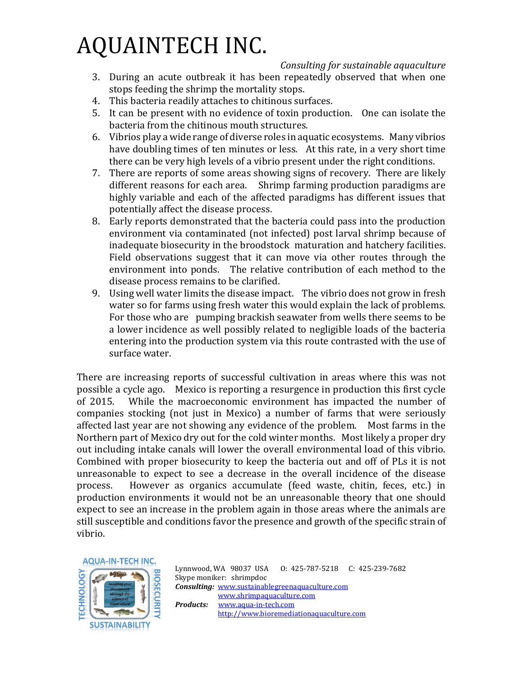*Consulting for sustainable aquaculture*

- 3. During an acute outbreak it has been repeatedly observed that when one stops feeding the shrimp the mortality stops.
- 4. This bacteria readily attaches to chitinous surfaces.
- 5. It can be present with no evidence of toxin production. One can isolate the bacteria from the chitinous mouth structures.
- 6. Vibrios play a wide range of diverse roles in aquatic ecosystems. Many vibrios have doubling times of ten minutes or less. At this rate, in a very short time there can be very high levels of a vibrio present under the right conditions.
- 7. There are reports of some areas showing signs of recovery. There are likely different reasons for each area. Shrimp farming production paradigms are highly variable and each of the affected paradigms has different issues that potentially affect the disease process.
- 8. Early reports demonstrated that the bacteria could pass into the production environment via contaminated (not infected) post larval shrimp because of inadequate biosecurity in the broodstock maturation and hatchery facilities. Field observations suggest that it can move via other routes through the environment into ponds. The relative contribution of each method to the disease process remains to be clarified.
- 9. Using well water limits the disease impact. The vibrio does not grow in fresh water so for farms using fresh water this would explain the lack of problems. For those who are pumping brackish seawater from wells there seems to be a lower incidence as well possibly related to negligible loads of the bacteria entering into the production system via this route contrasted with the use of surface water.

There are increasing reports of successful cultivation in areas where this was not possible a cycle ago. Mexico is reporting a resurgence in production this first cycle of 2015. While the macroeconomic environment has impacted the number of companies stocking (not just in Mexico) a number of farms that were seriously affected last year are not showing any evidence of the problem. Most farms in the Northern part of Mexico dry out for the cold winter months. Most likely a proper dry out including intake canals will lower the overall environmental load of this vibrio. Combined with proper biosecurity to keep the bacteria out and off of PLs it is not unreasonable to expect to see a decrease in the overall incidence of the disease process. However as organics accumulate (feed waste, chitin, feces, etc.) in production environments it would not be an unreasonable theory that one should expect to see an increase in the problem again in those areas where the animals are still susceptible and conditions favor the presence and growth of the specific strain of vibrio.



Lynnwood, WA 98037 USA O: 425-787-5218 C: 425-239-7682 Skype moniker: shrimpdoc *Consulting:* [www.sustainablegreenaquaculture.com](http://www.sustainablegreenaquaculture.com/)  [www.shrimpaquaculture.com](http://www.shrimpaquaculture.com/) *Products:* [www.aqua-in-tech.com](http://www.aqua-in-tech.com/) [http://www.bioremediationaquaculture.com](http://www.bioremediationaquaculture.com/)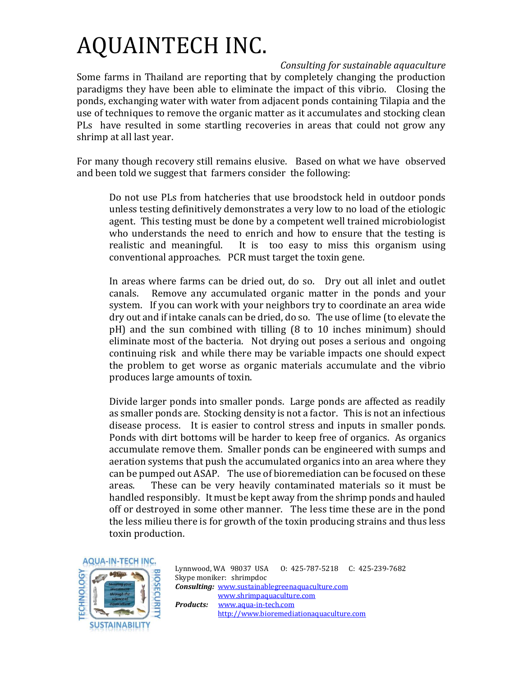*Consulting for sustainable aquaculture* Some farms in Thailand are reporting that by completely changing the production paradigms they have been able to eliminate the impact of this vibrio. Closing the ponds, exchanging water with water from adjacent ponds containing Tilapia and the use of techniques to remove the organic matter as it accumulates and stocking clean PLs have resulted in some startling recoveries in areas that could not grow any shrimp at all last year.

For many though recovery still remains elusive. Based on what we have observed and been told we suggest that farmers consider the following:

Do not use PLs from hatcheries that use broodstock held in outdoor ponds unless testing definitively demonstrates a very low to no load of the etiologic agent. This testing must be done by a competent well trained microbiologist who understands the need to enrich and how to ensure that the testing is realistic and meaningful. It is too easy to miss this organism using conventional approaches. PCR must target the toxin gene.

In areas where farms can be dried out, do so. Dry out all inlet and outlet canals. Remove any accumulated organic matter in the ponds and your system. If you can work with your neighbors try to coordinate an area wide dry out and if intake canals can be dried, do so. The use of lime (to elevate the pH) and the sun combined with tilling (8 to 10 inches minimum) should eliminate most of the bacteria. Not drying out poses a serious and ongoing continuing risk and while there may be variable impacts one should expect the problem to get worse as organic materials accumulate and the vibrio produces large amounts of toxin.

Divide larger ponds into smaller ponds. Large ponds are affected as readily as smaller ponds are. Stocking density is not a factor. This is not an infectious disease process. It is easier to control stress and inputs in smaller ponds. Ponds with dirt bottoms will be harder to keep free of organics. As organics accumulate remove them. Smaller ponds can be engineered with sumps and aeration systems that push the accumulated organics into an area where they can be pumped out ASAP. The use of bioremediation can be focused on these areas. These can be very heavily contaminated materials so it must be handled responsibly. It must be kept away from the shrimp ponds and hauled off or destroyed in some other manner. The less time these are in the pond the less milieu there is for growth of the toxin producing strains and thus less toxin production.



Lynnwood, WA 98037 USA O: 425-787-5218 C: 425-239-7682 Skype moniker: shrimpdoc *Consulting:* [www.sustainablegreenaquaculture.com](http://www.sustainablegreenaquaculture.com/)  [www.shrimpaquaculture.com](http://www.shrimpaquaculture.com/) *Products:* [www.aqua-in-tech.com](http://www.aqua-in-tech.com/) [http://www.bioremediationaquaculture.com](http://www.bioremediationaquaculture.com/)